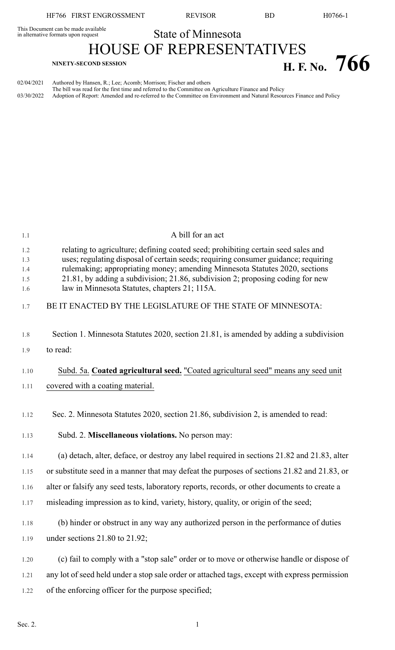HF766 FIRST ENGROSSMENT REVISOR BD H0766-1

This Document can be made available<br>in alternative formats upon request

State of Minnesota

HOUSE OF REPRESENTATIVES **H. F.** No. 766

| 02/04/2021 Authored by Hansen, R.; Lee; Acomb; Morrison; Fischer and others                                                     |
|---------------------------------------------------------------------------------------------------------------------------------|
| The bill was read for the first time and referred to the Committee on Agriculture Finance and Policy                            |
| 03/30/2022 Adoption of Report: Amended and re-referred to the Committee on Environment and Natural Resources Finance and Policy |

| 1.1                             | A bill for an act                                                                                                                                                                                                                                                                                                                                                                         |
|---------------------------------|-------------------------------------------------------------------------------------------------------------------------------------------------------------------------------------------------------------------------------------------------------------------------------------------------------------------------------------------------------------------------------------------|
| 1.2<br>1.3<br>1.4<br>1.5<br>1.6 | relating to agriculture; defining coated seed; prohibiting certain seed sales and<br>uses; regulating disposal of certain seeds; requiring consumer guidance; requiring<br>rulemaking; appropriating money; amending Minnesota Statutes 2020, sections<br>21.81, by adding a subdivision; 21.86, subdivision 2; proposing coding for new<br>law in Minnesota Statutes, chapters 21; 115A. |
| 1.7                             | BE IT ENACTED BY THE LEGISLATURE OF THE STATE OF MINNESOTA:                                                                                                                                                                                                                                                                                                                               |
| 1.8                             | Section 1. Minnesota Statutes 2020, section 21.81, is amended by adding a subdivision                                                                                                                                                                                                                                                                                                     |
| 1.9                             | to read:                                                                                                                                                                                                                                                                                                                                                                                  |
| 1.10                            | Subd. 5a. Coated agricultural seed. "Coated agricultural seed" means any seed unit                                                                                                                                                                                                                                                                                                        |
| 1.11                            | covered with a coating material.                                                                                                                                                                                                                                                                                                                                                          |
| 1.12                            | Sec. 2. Minnesota Statutes 2020, section 21.86, subdivision 2, is amended to read:                                                                                                                                                                                                                                                                                                        |
| 1.13                            | Subd. 2. Miscellaneous violations. No person may:                                                                                                                                                                                                                                                                                                                                         |
| 1.14                            | (a) detach, alter, deface, or destroy any label required in sections 21.82 and 21.83, alter                                                                                                                                                                                                                                                                                               |
| 1.15                            | or substitute seed in a manner that may defeat the purposes of sections 21.82 and 21.83, or                                                                                                                                                                                                                                                                                               |
| 1.16                            | alter or falsify any seed tests, laboratory reports, records, or other documents to create a                                                                                                                                                                                                                                                                                              |
| 1.17                            | misleading impression as to kind, variety, history, quality, or origin of the seed;                                                                                                                                                                                                                                                                                                       |
| 1.18                            | (b) hinder or obstruct in any way any authorized person in the performance of duties                                                                                                                                                                                                                                                                                                      |
| 1.19                            | under sections $21.80$ to $21.92$ ;                                                                                                                                                                                                                                                                                                                                                       |
| 1.20                            | (c) fail to comply with a "stop sale" order or to move or otherwise handle or dispose of                                                                                                                                                                                                                                                                                                  |
| 1.21                            | any lot of seed held under a stop sale order or attached tags, except with express permission                                                                                                                                                                                                                                                                                             |
| 1.22                            | of the enforcing officer for the purpose specified;                                                                                                                                                                                                                                                                                                                                       |
|                                 |                                                                                                                                                                                                                                                                                                                                                                                           |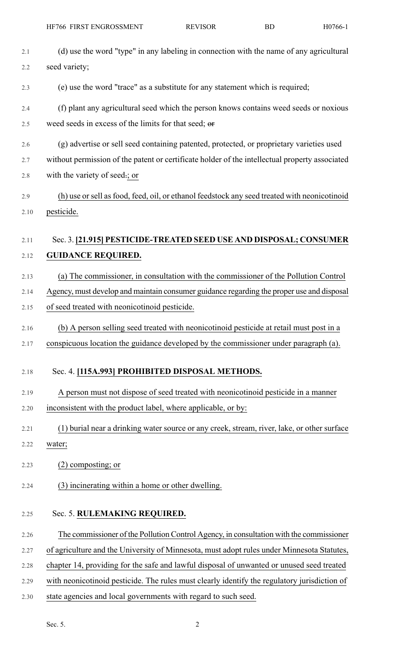| 2.1  | (d) use the word "type" in any labeling in connection with the name of any agricultural        |
|------|------------------------------------------------------------------------------------------------|
| 2.2  | seed variety;                                                                                  |
| 2.3  | (e) use the word "trace" as a substitute for any statement which is required;                  |
| 2.4  | (f) plant any agricultural seed which the person knows contains weed seeds or noxious          |
| 2.5  | weed seeds in excess of the limits for that seed; or                                           |
| 2.6  | (g) advertise or sell seed containing patented, protected, or proprietary varieties used       |
| 2.7  | without permission of the patent or certificate holder of the intellectual property associated |
| 2.8  | with the variety of seed.; or                                                                  |
| 2.9  | (h) use or sell as food, feed, oil, or ethanol feedstock any seed treated with neonicotinoid   |
| 2.10 | pesticide.                                                                                     |
|      |                                                                                                |
| 2.11 | Sec. 3. [21,915] PESTICIDE-TREATED SEED USE AND DISPOSAL; CONSUMER                             |
| 2.12 | <b>GUIDANCE REQUIRED.</b>                                                                      |
| 2.13 | (a) The commissioner, in consultation with the commissioner of the Pollution Control           |
| 2.14 | Agency, must develop and maintain consumer guidance regarding the proper use and disposal      |
| 2.15 | of seed treated with neonicotinoid pesticide.                                                  |
| 2.16 | (b) A person selling seed treated with neonicotinoid pesticide at retail must post in a        |
| 2.17 | conspicuous location the guidance developed by the commissioner under paragraph (a).           |
| 2.18 | Sec. 4. [115A.993] PROHIBITED DISPOSAL METHODS.                                                |
| 2.19 | A person must not dispose of seed treated with neonicotinoid pesticide in a manner             |
| 2.20 | inconsistent with the product label, where applicable, or by:                                  |
|      |                                                                                                |
| 2.21 | (1) burial near a drinking water source or any creek, stream, river, lake, or other surface    |
| 2.22 | water;                                                                                         |
| 2.23 | $(2)$ composting; or                                                                           |
| 2.24 | (3) incinerating within a home or other dwelling.                                              |
| 2.25 | Sec. 5. RULEMAKING REQUIRED.                                                                   |
| 2.26 | The commissioner of the Pollution Control Agency, in consultation with the commissioner        |
| 2.27 | of agriculture and the University of Minnesota, must adopt rules under Minnesota Statutes,     |
| 2.28 | chapter 14, providing for the safe and lawful disposal of unwanted or unused seed treated      |
| 2.29 | with neonicotinoid pesticide. The rules must clearly identify the regulatory jurisdiction of   |
| 2.30 | state agencies and local governments with regard to such seed.                                 |
|      |                                                                                                |